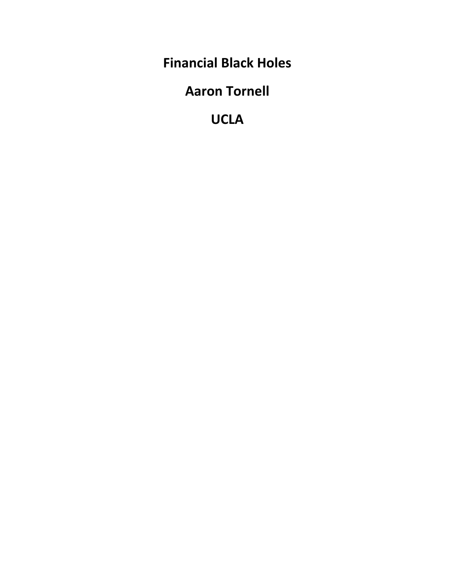**Financial Black Holes**

**Aaron Tornell**

**UCLA**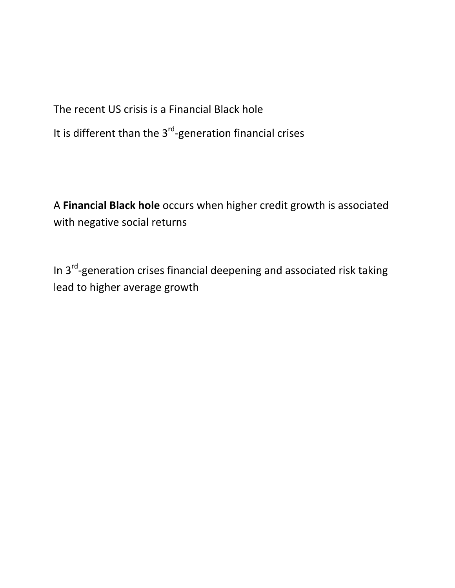The recent US crisis is a Financial Black hole

It is different than the  $3<sup>rd</sup>$ -generation financial crises

A **Financial Black hole** occurs when higher credit growth is associated with negative social returns

In 3<sup>rd</sup>-generation crises financial deepening and associated risk taking lead to higher average growth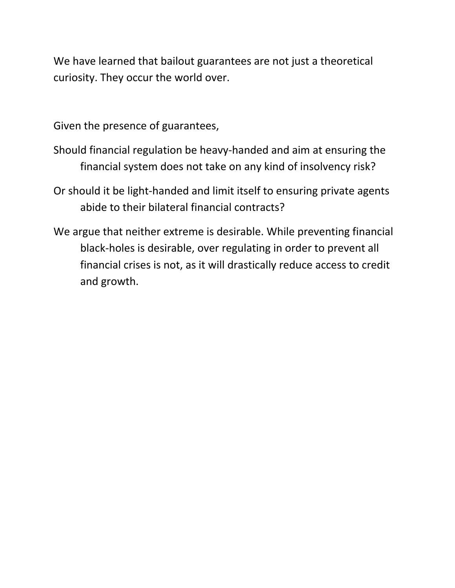We have learned that bailout guarantees are not just a theoretical curiosity. They occur the world over.

Given the presence of guarantees,

- Should financial regulation be heavy‐handed and aim at ensuring the financial system does not take on any kind of insolvency risk?
- Or should it be light‐handed and limit itself to ensuring private agents abide to their bilateral financial contracts?
- We argue that neither extreme is desirable. While preventing financial black‐holes is desirable, over regulating in order to prevent all financial crises is not, as it will drastically reduce access to credit and growth.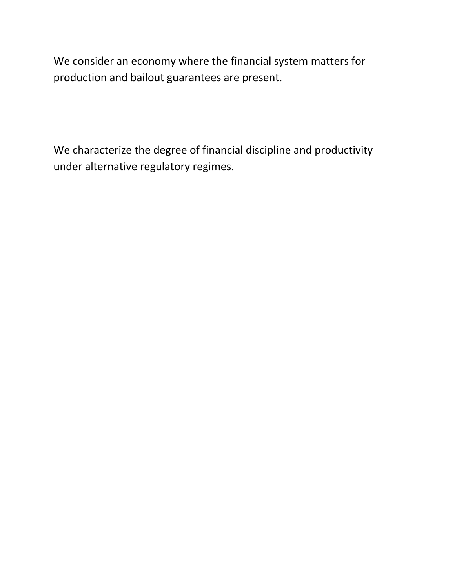We consider an economy where the financial system matters for production and bailout guarantees are present.

We characterize the degree of financial discipline and productivity under alternative regulatory regimes.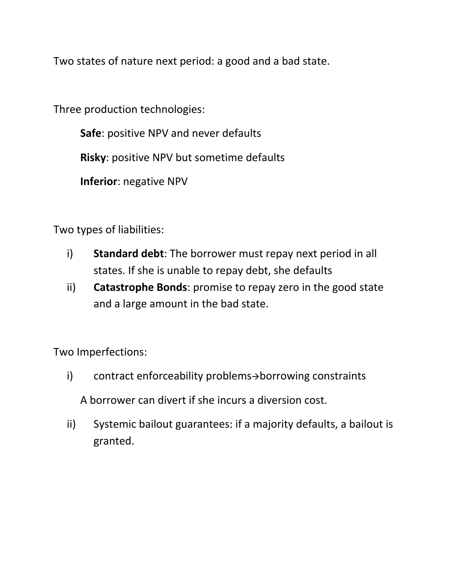Two states of nature next period: a good and a bad state.

Three production technologies:

**Safe**: positive NPV and never defaults

**Risky**: positive NPV but sometime defaults

**Inferior**: negative NPV

Two types of liabilities:

- i) **Standard debt**: The borrower must repay next period in all states. If she is unable to repay debt, she defaults
- ii) **Catastrophe Bonds**: promise to repay zero in the good state and a large amount in the bad state.

Two Imperfections:

- $i)$  contract enforceability problems $\rightarrow$ borrowing constraints A borrower can divert if she incurs a diversion cost.
- ii) Systemic bailout guarantees: if a majority defaults, a bailout is granted.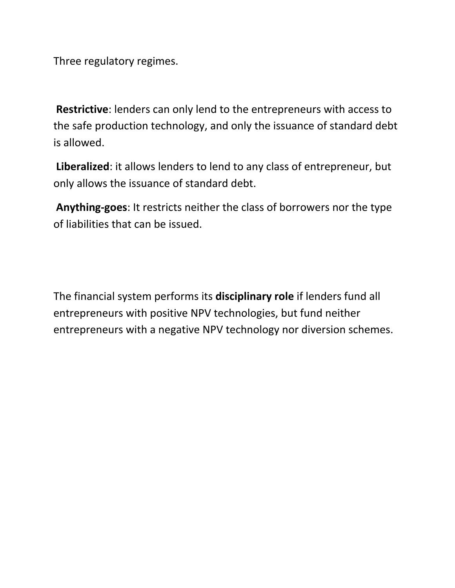Three regulatory regimes.

**Restrictive**: lenders can only lend to the entrepreneurs with access to the safe production technology, and only the issuance of standard debt is allowed.

**Liberalized**: it allows lenders to lend to any class of entrepreneur, but only allows the issuance of standard debt.

**Anything‐goes**: It restricts neither the class of borrowers nor the type of liabilities that can be issued.

The financial system performs its **disciplinary role** if lenders fund all entrepreneurs with positive NPV technologies, but fund neither entrepreneurs with a negative NPV technology nor diversion schemes.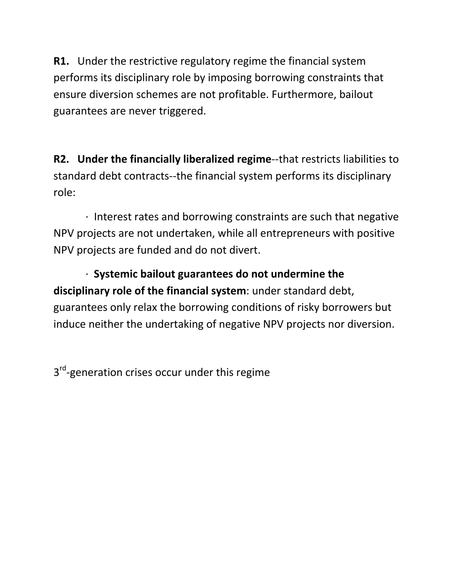**R1.** Under the restrictive regulatory regime the financial system performs its disciplinary role by imposing borrowing constraints that ensure diversion schemes are not profitable. Furthermore, bailout guarantees are never triggered.

**R2. Under the financially liberalized regime**‐‐that restricts liabilities to standard debt contracts‐‐the financial system performs its disciplinary role:

 ∙ Interest rates and borrowing constraints are such that negative NPV projects are not undertaken, while all entrepreneurs with positive NPV projects are funded and do not divert.

 ∙ **Systemic bailout guarantees do not undermine the disciplinary role of the financial system**: under standard debt, guarantees only relax the borrowing conditions of risky borrowers but induce neither the undertaking of negative NPV projects nor diversion.

3<sup>rd</sup>-generation crises occur under this regime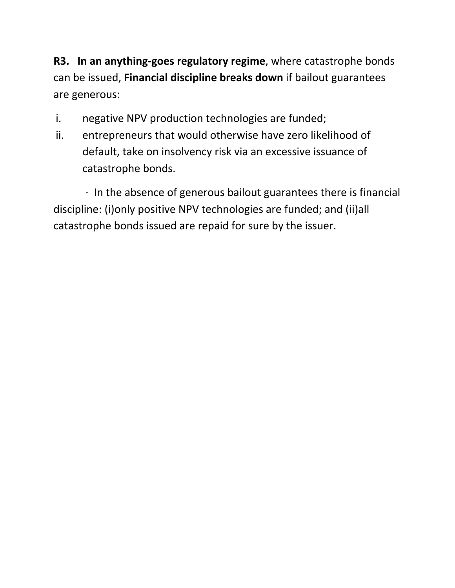**R3. In an anything‐goes regulatory regime**, where catastrophe bonds can be issued, **Financial discipline breaks down** if bailout guarantees are generous:

- i. negative NPV production technologies are funded;
- ii. entrepreneurs that would otherwise have zero likelihood of default, take on insolvency risk via an excessive issuance of catastrophe bonds.

 ∙ In the absence of generous bailout guarantees there is financial discipline: (i)only positive NPV technologies are funded; and (ii)all catastrophe bonds issued are repaid for sure by the issuer.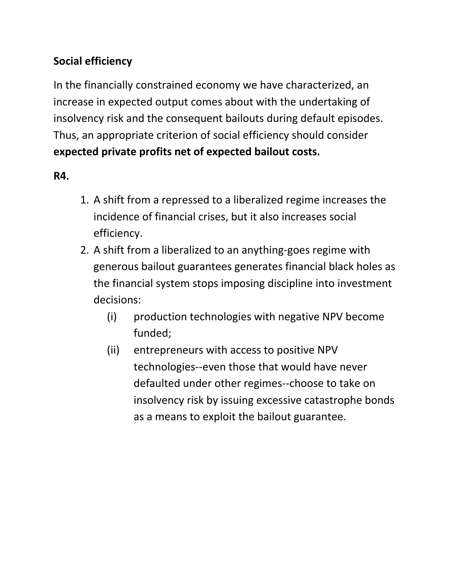## **Social efficiency**

In the financially constrained economy we have characterized, an increase in expected output comes about with the undertaking of insolvency risk and the consequent bailouts during default episodes. Thus, an appropriate criterion of social efficiency should consider **expected private profits net of expected bailout costs.**

## **R4.**

- 1. A shift from a repressed to a liberalized regime increases the incidence of financial crises, but it also increases social efficiency.
- 2. A shift from a liberalized to an anything‐goes regime with generous bailout guarantees generates financial black holes as the financial system stops imposing discipline into investment decisions:
	- (i) production technologies with negative NPV become funded;
	- (ii) entrepreneurs with access to positive NPV technologies‐‐even those that would have never defaulted under other regimes‐‐choose to take on insolvency risk by issuing excessive catastrophe bonds as a means to exploit the bailout guarantee.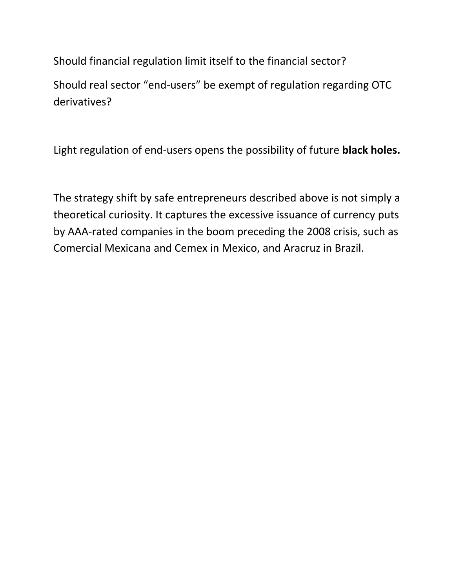Should financial regulation limit itself to the financial sector?

Should real sector "end‐users" be exempt of regulation regarding OTC derivatives?

Light regulation of end‐users opens the possibility of future **black holes.**

The strategy shift by safe entrepreneurs described above is not simply a theoretical curiosity. It captures the excessive issuance of currency puts by AAA‐rated companies in the boom preceding the 2008 crisis, such as Comercial Mexicana and Cemex in Mexico, and Aracruz in Brazil.